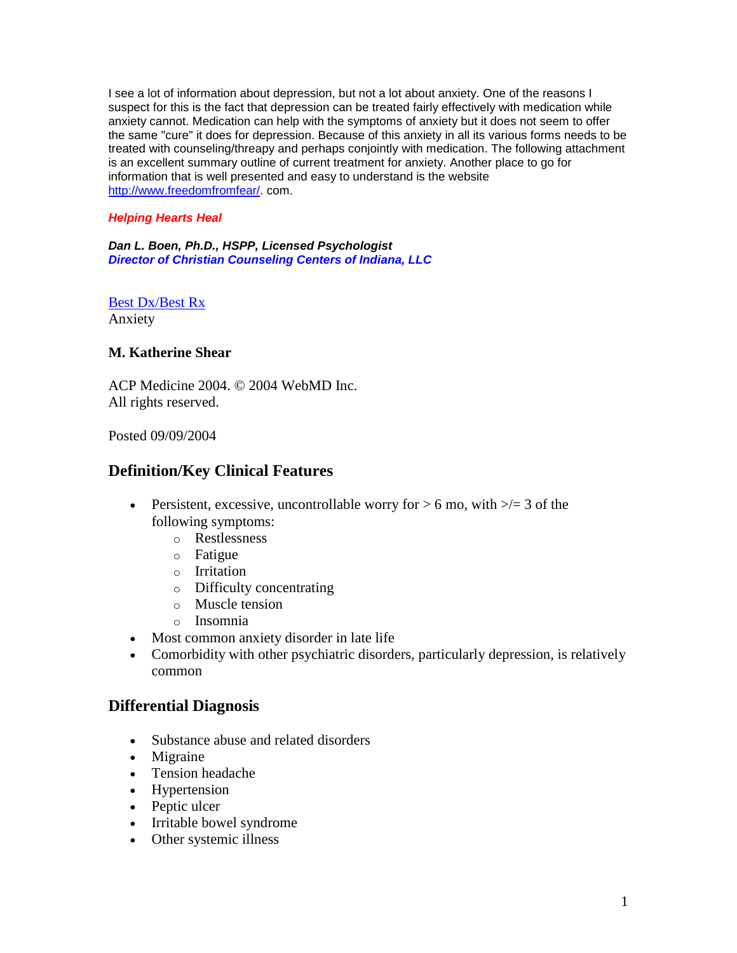I see a lot of information about depression, but not a lot about anxiety. One of the reasons I suspect for this is the fact that depression can be treated fairly effectively with medication while anxiety cannot. Medication can help with the symptoms of anxiety but it does not seem to offer the same "cure" it does for depression. Because of this anxiety in all its various forms needs to be treated with counseling/threapy and perhaps conjointly with medication. The following attachment is an excellent summary outline of current treatment for anxiety. Another place to go for information that is well presented and easy to understand is the website [http://www.freedomfromfear/.](http://www.freedomfromfear/) com.

#### *Helping Hearts Heal*

*Dan L. Boen, Ph.D., HSPP, Licensed Psychologist Director of Christian Counseling Centers of Indiana, LLC*

[Best Dx/Best Rx](http://www.medscape.com/pages/sites/sam/bestdx) Anxiety

### **M. Katherine Shear**

ACP Medicine 2004. © 2004 WebMD Inc. All rights reserved.

Posted 09/09/2004

## **Definition/Key Clinical Features**

- Persistent, excessive, uncontrollable worry for  $> 6$  mo, with  $\geq 3$  of the following symptoms:
	- o Restlessness
	- o Fatigue
	- o Irritation
	- o Difficulty concentrating
	- o Muscle tension
	- o Insomnia
- Most common anxiety disorder in late life
- Comorbidity with other psychiatric disorders, particularly depression, is relatively common

## **Differential Diagnosis**

- Substance abuse and related disorders
- Migraine
- Tension headache
- Hypertension
- Peptic ulcer
- Irritable bowel syndrome
- Other systemic illness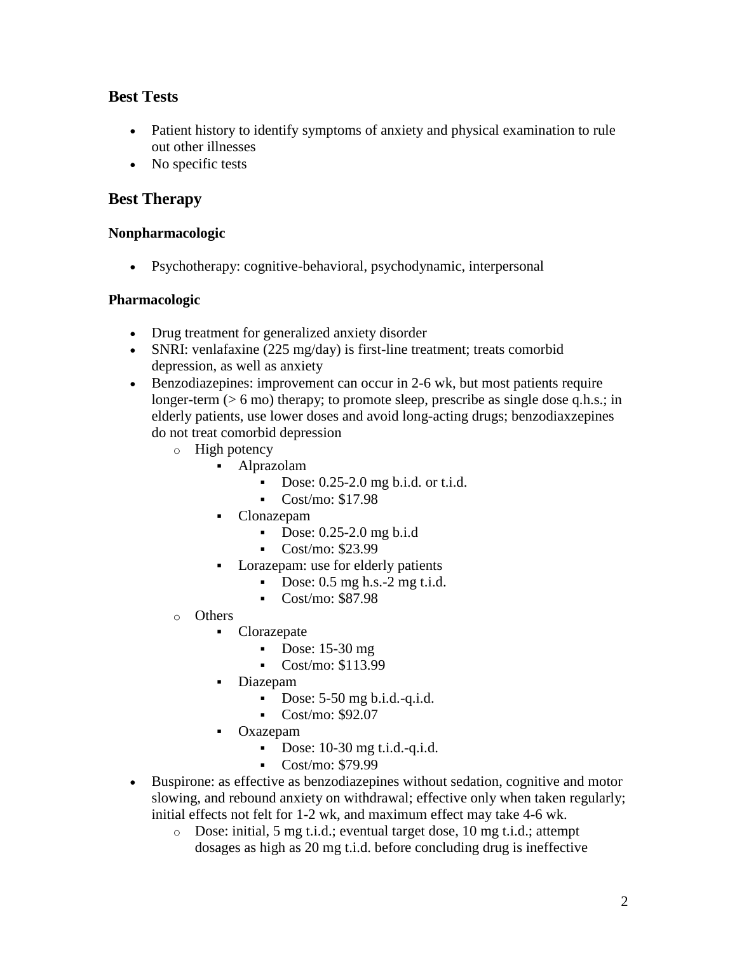# **Best Tests**

- Patient history to identify symptoms of anxiety and physical examination to rule out other illnesses
- No specific tests

# **Best Therapy**

## **Nonpharmacologic**

Psychotherapy: cognitive-behavioral, psychodynamic, interpersonal

## **Pharmacologic**

- Drug treatment for generalized anxiety disorder
- SNRI: venlafaxine (225 mg/day) is first-line treatment; treats comorbid depression, as well as anxiety
- Benzodiazepines: improvement can occur in 2-6 wk, but most patients require longer-term (> 6 mo) therapy; to promote sleep, prescribe as single dose q.h.s.; in elderly patients, use lower doses and avoid long-acting drugs; benzodiaxzepines do not treat comorbid depression
	- o High potency
		- Alprazolam
			- Dose:  $0.25-2.0$  mg b.i.d. or t.i.d.
			- $\sim$  Cost/mo: \$17.98
		- Clonazepam
			- Dose:  $0.25-2.0$  mg b.i.d
			- Cost/mo: \$23.99
		- Lorazepam: use for elderly patients
			- Dose:  $0.5$  mg h.s.- $2$  mg t.i.d.
			- Cost/mo: \$87.98
	- o Others
		- Clorazepate
			- Dose:  $15-30$  mg
			- Cost/mo:  $$113.99$
			- Diazepam
				- Dose: 5-50 mg b.i.d.-q.i.d.
				- Cost/mo: \$92.07
			- **•** Oxazepam
				- Dose:  $10-30$  mg t.i.d.-q.i.d.
				- $\sim$  Cost/mo: \$79.99
- Buspirone: as effective as benzodiazepines without sedation, cognitive and motor slowing, and rebound anxiety on withdrawal; effective only when taken regularly; initial effects not felt for 1-2 wk, and maximum effect may take 4-6 wk.
	- o Dose: initial, 5 mg t.i.d.; eventual target dose, 10 mg t.i.d.; attempt dosages as high as 20 mg t.i.d. before concluding drug is ineffective